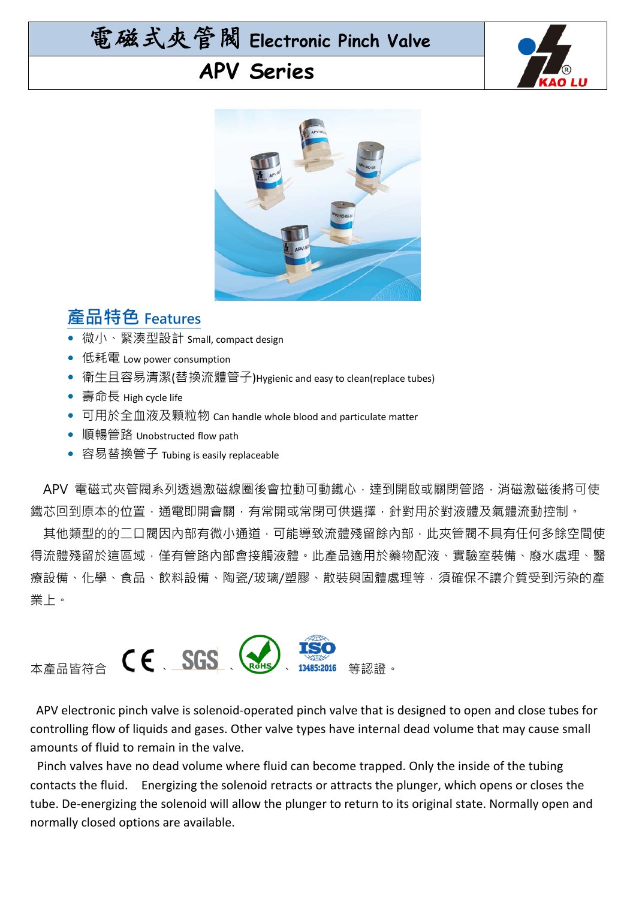# 電磁式夾管閥 **Electronic Pinch Valve**

#### **APV Series**





#### **產品特色 Features**

- 微小、緊湊型設計 Small, compact design
- 低耗電 Low power consumption
- 衛生且容易清潔(替換流體管子)Hygienic and easy to clean(replace tubes)
- 壽命長 High cycle life
- 可用於全血液及顆粒物 Can handle whole blood and particulate matter
- 順暢管路 Unobstructed flow path
- 容易替換管子 Tubing is easily replaceable

APV 電磁式夾管閥系列透過激磁線圈後會拉動可動鐵心,達到開啟或關閉管路,消磁激磁後將可使 鐵芯回到原本的位置,通電即開會關,有常開或常閉可供選擇,針對用於對液體及氣體流動控制。

 其他類型的的二口閥因內部有微小通道,可能導致流體殘留餘內部,此夾管閥不具有任何多餘空間使 得流體殘留於這區域,僅有管路內部會接觸液體。此產品滴用於藥物配液、實驗室裝備、廢水處理、醫 療設備、化學、食品、飲料設備、陶瓷/玻璃/塑膠、散裝與固體處理等,須確保不讓介質受到污染的產 業上。



APV electronic pinch valve is solenoid-operated pinch valve that is designed to open and close tubes for controlling flow of liquids and gases. Other valve types have internal dead volume that may cause small amounts of fluid to remain in the valve.

Pinch valves have no dead volume where fluid can become trapped. Only the inside of the tubing contacts the fluid. Energizing the solenoid retracts or attracts the plunger, which opens or closes the tube. De-energizing the solenoid will allow the plunger to return to its original state. Normally open and normally closed options are available.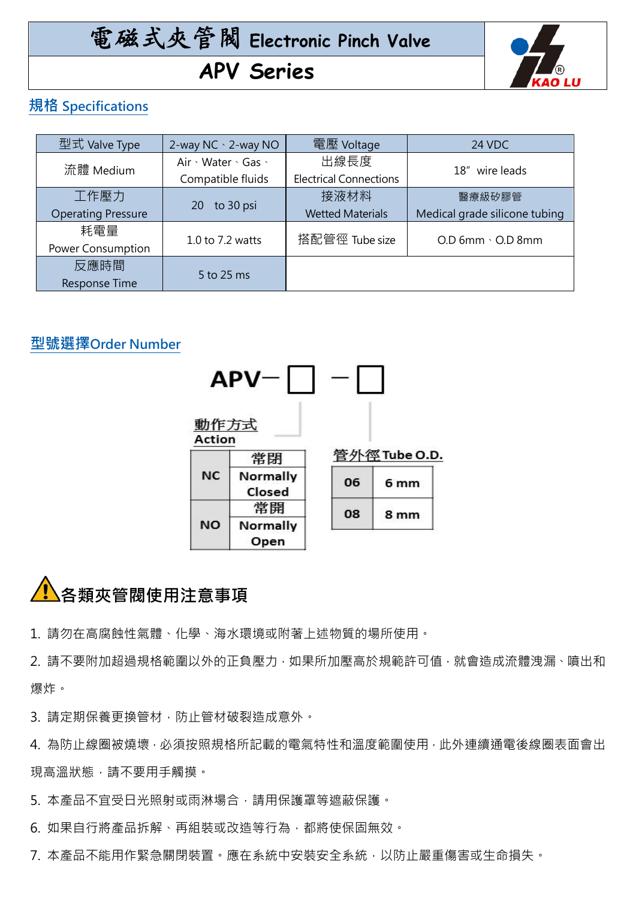## 電磁式夾管閥 **Electronic Pinch Valve APV Series**



#### **規格 Specifications**

| 型式 Valve Type             | 2-way NC \c2-way NO | 電壓 Voltage                    | 24 VDC                        |
|---------------------------|---------------------|-------------------------------|-------------------------------|
| 流體 Medium                 | Air · Water · Gas · | 出線長度                          | 18" wire leads                |
|                           | Compatible fluids   | <b>Electrical Connections</b> |                               |
| 工作壓力                      | to 30 psi<br>20     | 接液材料                          | 醫療級矽膠管                        |
| <b>Operating Pressure</b> |                     | <b>Wetted Materials</b>       | Medical grade silicone tubing |
| 耗電量                       | 1.0 to 7.2 watts    | 搭配管徑 Tube size                | $O.D$ 6mm $\cdot$ $O.D$ 8mm   |
| Power Consumption         |                     |                               |                               |
| 反應時間                      |                     |                               |                               |
| <b>Response Time</b>      | 5 to 25 ms          |                               |                               |

#### **型號選擇Order Number**



### **各類夾管閥使用注意事項**

1. 請勿在高腐蝕性氣體、化學、海水環境或附著上述物質的場所使用。

2. 請不要附加超過規格範圍以外的正負壓力,如果所加壓高於規範許可值,就會造成流體洩漏、噴出和 爆炸。

3. 請定期保養更換管材,防止管材破裂造成意外。

4. 為防止線圈被燒壞,必須按照規格所記載的電氣特性和溫度範圍使用,此外連續通電後線圈表面會出 現高溫狀態,請不要用手觸摸。

5. 本產品不宜受日光照射或雨淋場合,請用保護罩等遮蔽保護。

6. 如果自行將產品拆解、再組裝或改造等行為,都將使保固無效。

7. 本產品不能用作緊急關閉裝置。應在系統中安裝安全系統,以防止嚴重傷害或生命損失。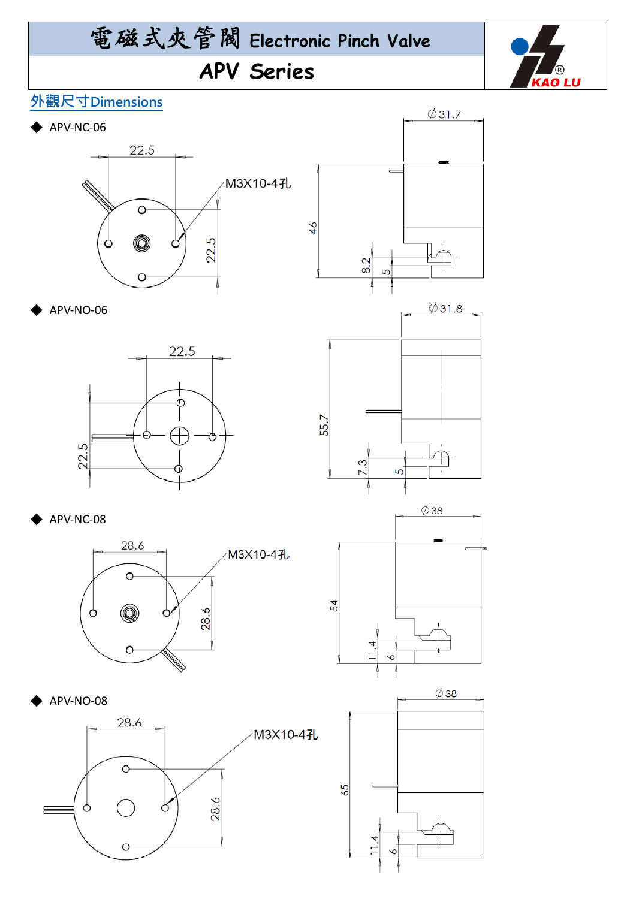# 電磁式夾管閥 **Electronic Pinch Valve**

### **APV Series**



 $\varphi$ 31.7

 $\emptyset$ 31.8

 $\equiv$ 

#### **外觀尺寸Dimensions**

 $\blacktriangleright$  APV-NC-06





55.7

<u>က</u>

**APV-NO-06** 



APV-NC-08





APV-NO-08